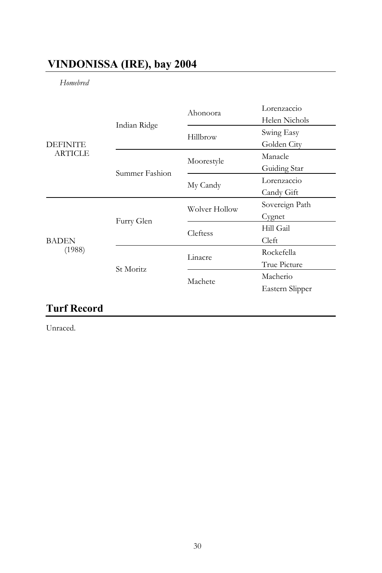## **VINDONISSA (IRE), bay 2004**

*Homebred* 

| <b>DEFINITE</b><br><b>ARTICLE</b> | Indian Ridge   | Ahonoora      | Lorenzaccio     |
|-----------------------------------|----------------|---------------|-----------------|
|                                   |                |               | Helen Nichols   |
|                                   |                | Hillbrow      | Swing Easy      |
|                                   |                |               | Golden City     |
|                                   | Summer Fashion | Moorestyle    | Manacle         |
|                                   |                |               | Guiding Star    |
|                                   |                | My Candy      | Lorenzaccio     |
|                                   |                |               | Candy Gift      |
| <b>BADEN</b><br>(1988)            | Furry Glen     | Wolver Hollow | Sovereign Path  |
|                                   |                |               | Cygnet          |
|                                   |                | Cleftess      | Hill Gail       |
|                                   |                |               | Cleft           |
|                                   | St Moritz      | Linacre       | Rockefella      |
|                                   |                |               | True Picture    |
|                                   |                | Machete       | Macherio        |
|                                   |                |               | Eastern Slipper |
|                                   |                |               |                 |

# **Turf Record**

Unraced.